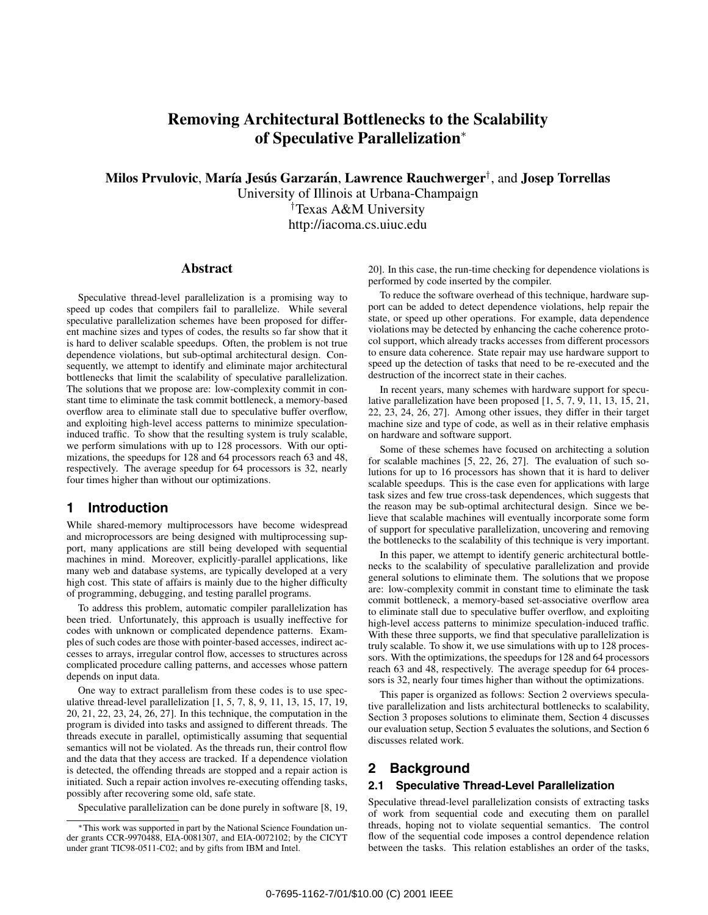# **Removing Architectural Bottlenecks to the Scalability of Speculative Parallelization**

 $M$ ilos Prvulovic, María Jesús Garzarán, Lawrence Rauchwerger†, and Josep Torrellas University of Illinois at Urbana-Champaign <sup>†</sup>Texas A&M University http://iacoma.cs.uiuc.edu

### **Abstract**

Speculative thread-level parallelization is a promising way to speed up codes that compilers fail to parallelize. While several speculative parallelization schemes have been proposed for different machine sizes and types of codes, the results so far show that it is hard to deliver scalable speedups. Often, the problem is not true dependence violations, but sub-optimal architectural design. Consequently, we attempt to identify and eliminate major architectural bottlenecks that limit the scalability of speculative parallelization. The solutions that we propose are: low-complexity commit in constant time to eliminate the task commit bottleneck, a memory-based overflow area to eliminate stall due to speculative buffer overflow, and exploiting high-level access patterns to minimize speculationinduced traffic. To show that the resulting system is truly scalable, we perform simulations with up to 128 processors. With our optimizations, the speedups for 128 and 64 processors reach 63 and 48, respectively. The average speedup for 64 processors is 32, nearly four times higher than without our optimizations.

## **1 Introduction**

While shared-memory multiprocessors have become widespread and microprocessors are being designed with multiprocessing support, many applications are still being developed with sequential machines in mind. Moreover, explicitly-parallel applications, like many web and database systems, are typically developed at a very high cost. This state of affairs is mainly due to the higher difficulty of programming, debugging, and testing parallel programs.

To address this problem, automatic compiler parallelization has been tried. Unfortunately, this approach is usually ineffective for codes with unknown or complicated dependence patterns. Examples of such codes are those with pointer-based accesses, indirect accesses to arrays, irregular control flow, accesses to structures across complicated procedure calling patterns, and accesses whose pattern depends on input data.

One way to extract parallelism from these codes is to use speculative thread-level parallelization [1, 5, 7, 8, 9, 11, 13, 15, 17, 19, 20, 21, 22, 23, 24, 26, 27]. In this technique, the computation in the program is divided into tasks and assigned to different threads. The threads execute in parallel, optimistically assuming that sequential semantics will not be violated. As the threads run, their control flow and the data that they access are tracked. If a dependence violation is detected, the offending threads are stopped and a repair action is initiated. Such a repair action involves re-executing offending tasks, possibly after recovering some old, safe state.

Speculative parallelization can be done purely in software [8, 19,

20]. In this case, the run-time checking for dependence violations is performed by code inserted by the compiler.

To reduce the software overhead of this technique, hardware support can be added to detect dependence violations, help repair the state, or speed up other operations. For example, data dependence violations may be detected by enhancing the cache coherence protocol support, which already tracks accesses from different processors to ensure data coherence. State repair may use hardware support to speed up the detection of tasks that need to be re-executed and the destruction of the incorrect state in their caches.

In recent years, many schemes with hardware support for speculative parallelization have been proposed [1, 5, 7, 9, 11, 13, 15, 21, 22, 23, 24, 26, 27]. Among other issues, they differ in their target machine size and type of code, as well as in their relative emphasis on hardware and software support.

Some of these schemes have focused on architecting a solution for scalable machines [5, 22, 26, 27]. The evaluation of such solutions for up to 16 processors has shown that it is hard to deliver scalable speedups. This is the case even for applications with large task sizes and few true cross-task dependences, which suggests that the reason may be sub-optimal architectural design. Since we believe that scalable machines will eventually incorporate some form of support for speculative parallelization, uncovering and removing the bottlenecks to the scalability of this technique is very important.

In this paper, we attempt to identify generic architectural bottlenecks to the scalability of speculative parallelization and provide general solutions to eliminate them. The solutions that we propose are: low-complexity commit in constant time to eliminate the task commit bottleneck, a memory-based set-associative overflow area to eliminate stall due to speculative buffer overflow, and exploiting high-level access patterns to minimize speculation-induced traffic. With these three supports, we find that speculative parallelization is truly scalable. To show it, we use simulations with up to 128 processors. With the optimizations, the speedups for 128 and 64 processors reach 63 and 48, respectively. The average speedup for 64 processors is 32, nearly four times higher than without the optimizations.

This paper is organized as follows: Section 2 overviews speculative parallelization and lists architectural bottlenecks to scalability, Section 3 proposes solutions to eliminate them, Section 4 discusses our evaluation setup, Section 5 evaluates the solutions, and Section 6 discusses related work.

# **2 Background**

### **2.1 Speculative Thread-Level Parallelization**

Speculative thread-level parallelization consists of extracting tasks of work from sequential code and executing them on parallel threads, hoping not to violate sequential semantics. The control flow of the sequential code imposes a control dependence relation between the tasks. This relation establishes an order of the tasks,

This work was supported in part by the National Science Foundation under grants CCR-9970488, EIA-0081307, and EIA-0072102; by the CICYT under grant TIC98-0511-C02; and by gifts from IBM and Intel.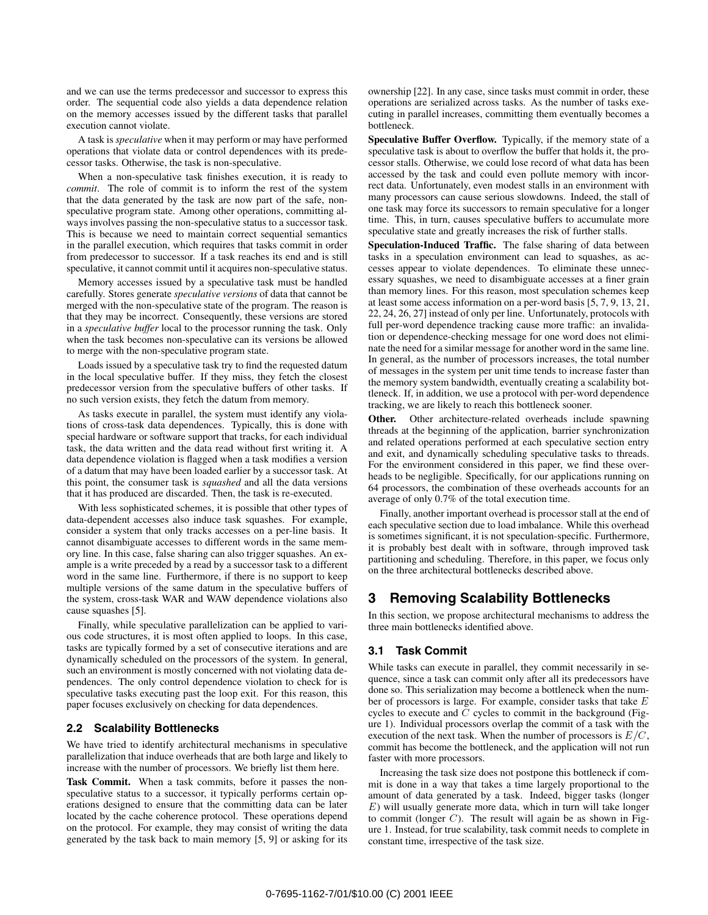and we can use the terms predecessor and successor to express this order. The sequential code also yields a data dependence relation on the memory accesses issued by the different tasks that parallel execution cannot violate.

A task is *speculative* when it may perform or may have performed operations that violate data or control dependences with its predecessor tasks. Otherwise, the task is non-speculative.

When a non-speculative task finishes execution, it is ready to *commit*. The role of commit is to inform the rest of the system that the data generated by the task are now part of the safe, nonspeculative program state. Among other operations, committing always involves passing the non-speculative status to a successor task. This is because we need to maintain correct sequential semantics in the parallel execution, which requires that tasks commit in order from predecessor to successor. If a task reaches its end and is still speculative, it cannot commit until it acquires non-speculative status.

Memory accesses issued by a speculative task must be handled carefully. Stores generate *speculative versions* of data that cannot be merged with the non-speculative state of the program. The reason is that they may be incorrect. Consequently, these versions are stored in a *speculative buffer* local to the processor running the task. Only when the task becomes non-speculative can its versions be allowed to merge with the non-speculative program state.

Loads issued by a speculative task try to find the requested datum in the local speculative buffer. If they miss, they fetch the closest predecessor version from the speculative buffers of other tasks. If no such version exists, they fetch the datum from memory.

As tasks execute in parallel, the system must identify any violations of cross-task data dependences. Typically, this is done with special hardware or software support that tracks, for each individual task, the data written and the data read without first writing it. A data dependence violation is flagged when a task modifies a version of a datum that may have been loaded earlier by a successor task. At this point, the consumer task is *squashed* and all the data versions that it has produced are discarded. Then, the task is re-executed.

With less sophisticated schemes, it is possible that other types of data-dependent accesses also induce task squashes. For example, consider a system that only tracks accesses on a per-line basis. It cannot disambiguate accesses to different words in the same memory line. In this case, false sharing can also trigger squashes. An example is a write preceded by a read by a successor task to a different word in the same line. Furthermore, if there is no support to keep multiple versions of the same datum in the speculative buffers of the system, cross-task WAR and WAW dependence violations also cause squashes [5].

Finally, while speculative parallelization can be applied to various code structures, it is most often applied to loops. In this case, tasks are typically formed by a set of consecutive iterations and are dynamically scheduled on the processors of the system. In general, such an environment is mostly concerned with not violating data dependences. The only control dependence violation to check for is speculative tasks executing past the loop exit. For this reason, this paper focuses exclusively on checking for data dependences.

### **2.2 Scalability Bottlenecks**

We have tried to identify architectural mechanisms in speculative parallelization that induce overheads that are both large and likely to increase with the number of processors. We briefly list them here.

Task Commit. When a task commits, before it passes the nonspeculative status to a successor, it typically performs certain operations designed to ensure that the committing data can be later located by the cache coherence protocol. These operations depend on the protocol. For example, they may consist of writing the data generated by the task back to main memory [5, 9] or asking for its ownership [22]. In any case, since tasks must commit in order, these operations are serialized across tasks. As the number of tasks executing in parallel increases, committing them eventually becomes a bottleneck.

**Speculative Buffer Overflow.** Typically, if the memory state of a speculative task is about to overflow the buffer that holds it, the processor stalls. Otherwise, we could lose record of what data has been accessed by the task and could even pollute memory with incorrect data. Unfortunately, even modest stalls in an environment with many processors can cause serious slowdowns. Indeed, the stall of one task may force its successors to remain speculative for a longer time. This, in turn, causes speculative buffers to accumulate more speculative state and greatly increases the risk of further stalls.

**Speculation-Induced Traffic.** The false sharing of data between tasks in a speculation environment can lead to squashes, as accesses appear to violate dependences. To eliminate these unnecessary squashes, we need to disambiguate accesses at a finer grain than memory lines. For this reason, most speculation schemes keep at least some access information on a per-word basis [5, 7, 9, 13, 21, 22, 24, 26, 27] instead of only per line. Unfortunately, protocols with full per-word dependence tracking cause more traffic: an invalidation or dependence-checking message for one word does not eliminate the need for a similar message for another word in the same line. In general, as the number of processors increases, the total number of messages in the system per unit time tends to increase faster than the memory system bandwidth, eventually creating a scalability bottleneck. If, in addition, we use a protocol with per-word dependence tracking, we are likely to reach this bottleneck sooner.

**Other.** Other architecture-related overheads include spawning threads at the beginning of the application, barrier synchronization and related operations performed at each speculative section entry and exit, and dynamically scheduling speculative tasks to threads. For the environment considered in this paper, we find these overheads to be negligible. Specifically, for our applications running on 64 processors, the combination of these overheads accounts for an average of only 0.7% of the total execution time.

Finally, another important overhead is processor stall at the end of each speculative section due to load imbalance. While this overhead is sometimes significant, it is not speculation-specific. Furthermore, it is probably best dealt with in software, through improved task partitioning and scheduling. Therefore, in this paper, we focus only on the three architectural bottlenecks described above.

# **3 Removing Scalability Bottlenecks**

In this section, we propose architectural mechanisms to address the three main bottlenecks identified above.

## **3.1 Task Commit**

While tasks can execute in parallel, they commit necessarily in sequence, since a task can commit only after all its predecessors have done so. This serialization may become a bottleneck when the number of processors is large. For example, consider tasks that take  $E$ cycles to execute and  $C$  cycles to commit in the background (Figure 1). Individual processors overlap the commit of a task with the execution of the next task. When the number of processors is  $E/C$ , commit has become the bottleneck, and the application will not run faster with more processors.

Increasing the task size does not postpone this bottleneck if commit is done in a way that takes a time largely proportional to the amount of data generated by a task. Indeed, bigger tasks (longer <sup>E</sup>) will usually generate more data, which in turn will take longer to commit (longer  $C$ ). The result will again be as shown in Figure 1. Instead, for true scalability, task commit needs to complete in constant time, irrespective of the task size.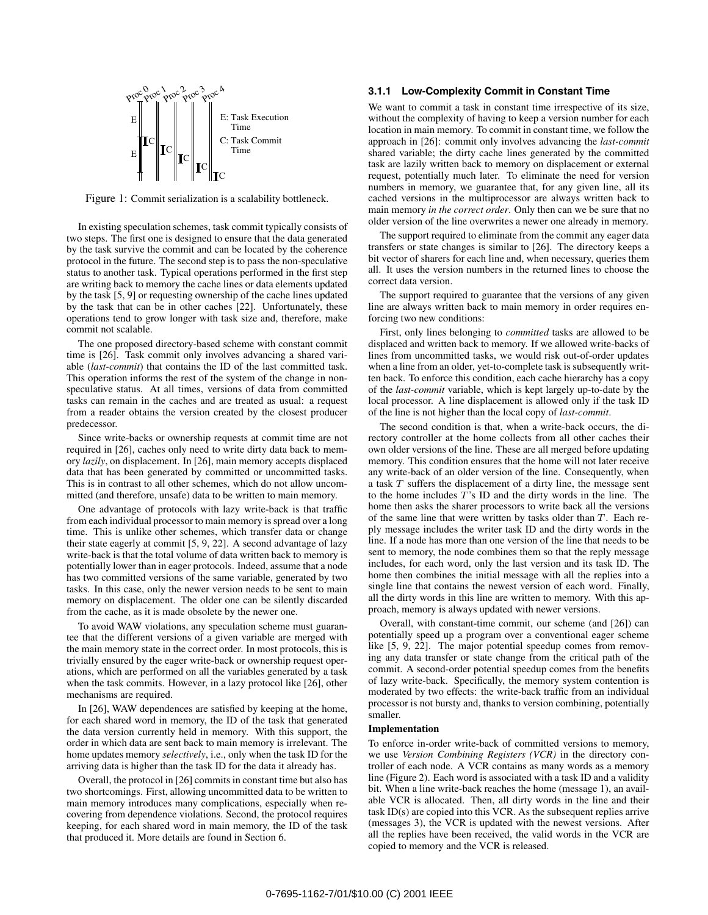

Figure 1: Commit serialization is a scalability bottleneck.

In existing speculation schemes, task commit typically consists of two steps. The first one is designed to ensure that the data generated by the task survive the commit and can be located by the coherence protocol in the future. The second step is to pass the non-speculative status to another task. Typical operations performed in the first step are writing back to memory the cache lines or data elements updated by the task [5, 9] or requesting ownership of the cache lines updated by the task that can be in other caches [22]. Unfortunately, these operations tend to grow longer with task size and, therefore, make commit not scalable.

The one proposed directory-based scheme with constant commit time is [26]. Task commit only involves advancing a shared variable (*last-commit*) that contains the ID of the last committed task. This operation informs the rest of the system of the change in nonspeculative status. At all times, versions of data from committed tasks can remain in the caches and are treated as usual: a request from a reader obtains the version created by the closest producer predecessor.

Since write-backs or ownership requests at commit time are not required in [26], caches only need to write dirty data back to memory *lazily*, on displacement. In [26], main memory accepts displaced data that has been generated by committed or uncommitted tasks. This is in contrast to all other schemes, which do not allow uncommitted (and therefore, unsafe) data to be written to main memory.

One advantage of protocols with lazy write-back is that traffic from each individual processor to main memory is spread over a long time. This is unlike other schemes, which transfer data or change their state eagerly at commit [5, 9, 22]. A second advantage of lazy write-back is that the total volume of data written back to memory is potentially lower than in eager protocols. Indeed, assume that a node has two committed versions of the same variable, generated by two tasks. In this case, only the newer version needs to be sent to main memory on displacement. The older one can be silently discarded from the cache, as it is made obsolete by the newer one.

To avoid WAW violations, any speculation scheme must guarantee that the different versions of a given variable are merged with the main memory state in the correct order. In most protocols, this is trivially ensured by the eager write-back or ownership request operations, which are performed on all the variables generated by a task when the task commits. However, in a lazy protocol like [26], other mechanisms are required.

In [26], WAW dependences are satisfied by keeping at the home, for each shared word in memory, the ID of the task that generated the data version currently held in memory. With this support, the order in which data are sent back to main memory is irrelevant. The home updates memory *selectively*, i.e., only when the task ID for the arriving data is higher than the task ID for the data it already has.

Overall, the protocol in [26] commits in constant time but also has two shortcomings. First, allowing uncommitted data to be written to main memory introduces many complications, especially when recovering from dependence violations. Second, the protocol requires keeping, for each shared word in main memory, the ID of the task that produced it. More details are found in Section 6.

#### **3.1.1 Low-Complexity Commit in Constant Time**

We want to commit a task in constant time irrespective of its size, without the complexity of having to keep a version number for each location in main memory. To commit in constant time, we follow the approach in [26]: commit only involves advancing the *last-commit* shared variable; the dirty cache lines generated by the committed task are lazily written back to memory on displacement or external request, potentially much later. To eliminate the need for version numbers in memory, we guarantee that, for any given line, all its cached versions in the multiprocessor are always written back to main memory *in the correct order*. Only then can we be sure that no older version of the line overwrites a newer one already in memory.

The support required to eliminate from the commit any eager data transfers or state changes is similar to [26]. The directory keeps a bit vector of sharers for each line and, when necessary, queries them all. It uses the version numbers in the returned lines to choose the correct data version.

The support required to guarantee that the versions of any given line are always written back to main memory in order requires enforcing two new conditions:

First, only lines belonging to *committed* tasks are allowed to be displaced and written back to memory. If we allowed write-backs of lines from uncommitted tasks, we would risk out-of-order updates when a line from an older, yet-to-complete task is subsequently written back. To enforce this condition, each cache hierarchy has a copy of the *last-commit* variable, which is kept largely up-to-date by the local processor. A line displacement is allowed only if the task ID of the line is not higher than the local copy of *last-commit*.

The second condition is that, when a write-back occurs, the directory controller at the home collects from all other caches their own older versions of the line. These are all merged before updating memory. This condition ensures that the home will not later receive any write-back of an older version of the line. Consequently, when a task  $T$  suffers the displacement of a dirty line, the message sent to the home includes  $T$ 's ID and the dirty words in the line. The home then asks the sharer processors to write back all the versions of the same line that were written by tasks older than  $T$ . Each reply message includes the writer task ID and the dirty words in the line. If a node has more than one version of the line that needs to be sent to memory, the node combines them so that the reply message includes, for each word, only the last version and its task ID. The home then combines the initial message with all the replies into a single line that contains the newest version of each word. Finally, all the dirty words in this line are written to memory. With this approach, memory is always updated with newer versions.

Overall, with constant-time commit, our scheme (and [26]) can potentially speed up a program over a conventional eager scheme like [5, 9, 22]. The major potential speedup comes from removing any data transfer or state change from the critical path of the commit. A second-order potential speedup comes from the benefits of lazy write-back. Specifically, the memory system contention is moderated by two effects: the write-back traffic from an individual processor is not bursty and, thanks to version combining, potentially smaller.

#### **Implementation**

To enforce in-order write-back of committed versions to memory, we use *Version Combining Registers (VCR)* in the directory controller of each node. A VCR contains as many words as a memory line (Figure 2). Each word is associated with a task ID and a validity bit. When a line write-back reaches the home (message 1), an available VCR is allocated. Then, all dirty words in the line and their task ID(s) are copied into this VCR. As the subsequent replies arrive (messages 3), the VCR is updated with the newest versions. After all the replies have been received, the valid words in the VCR are copied to memory and the VCR is released.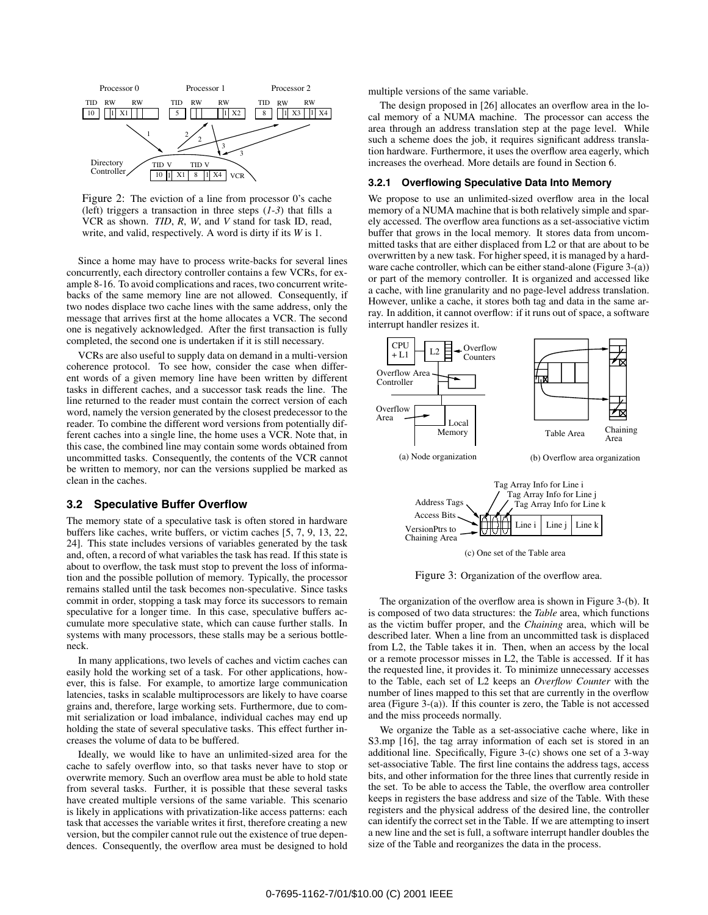

Figure 2: The eviction of a line from processor 0's cache (left) triggers a transaction in three steps (*1*-*3*) that fills a VCR as shown. *TID*, *R*, *W*, and *V* stand for task ID, read, write, and valid, respectively. A word is dirty if its *W* is 1.

Since a home may have to process write-backs for several lines concurrently, each directory controller contains a few VCRs, for example 8-16. To avoid complications and races, two concurrent writebacks of the same memory line are not allowed. Consequently, if two nodes displace two cache lines with the same address, only the message that arrives first at the home allocates a VCR. The second one is negatively acknowledged. After the first transaction is fully completed, the second one is undertaken if it is still necessary.

VCRs are also useful to supply data on demand in a multi-version coherence protocol. To see how, consider the case when different words of a given memory line have been written by different tasks in different caches, and a successor task reads the line. The line returned to the reader must contain the correct version of each word, namely the version generated by the closest predecessor to the reader. To combine the different word versions from potentially different caches into a single line, the home uses a VCR. Note that, in this case, the combined line may contain some words obtained from uncommitted tasks. Consequently, the contents of the VCR cannot be written to memory, nor can the versions supplied be marked as clean in the caches.

### **3.2 Speculative Buffer Overflow**

The memory state of a speculative task is often stored in hardware buffers like caches, write buffers, or victim caches [5, 7, 9, 13, 22, 24]. This state includes versions of variables generated by the task and, often, a record of what variables the task has read. If this state is about to overflow, the task must stop to prevent the loss of information and the possible pollution of memory. Typically, the processor remains stalled until the task becomes non-speculative. Since tasks commit in order, stopping a task may force its successors to remain speculative for a longer time. In this case, speculative buffers accumulate more speculative state, which can cause further stalls. In systems with many processors, these stalls may be a serious bottleneck.

In many applications, two levels of caches and victim caches can easily hold the working set of a task. For other applications, however, this is false. For example, to amortize large communication latencies, tasks in scalable multiprocessors are likely to have coarse grains and, therefore, large working sets. Furthermore, due to commit serialization or load imbalance, individual caches may end up holding the state of several speculative tasks. This effect further increases the volume of data to be buffered.

Ideally, we would like to have an unlimited-sized area for the cache to safely overflow into, so that tasks never have to stop or overwrite memory. Such an overflow area must be able to hold state from several tasks. Further, it is possible that these several tasks have created multiple versions of the same variable. This scenario is likely in applications with privatization-like access patterns: each task that accesses the variable writes it first, therefore creating a new version, but the compiler cannot rule out the existence of true dependences. Consequently, the overflow area must be designed to hold multiple versions of the same variable.

The design proposed in [26] allocates an overflow area in the local memory of a NUMA machine. The processor can access the area through an address translation step at the page level. While such a scheme does the job, it requires significant address translation hardware. Furthermore, it uses the overflow area eagerly, which increases the overhead. More details are found in Section 6.

### **3.2.1 Overflowing Speculative Data Into Memory**

We propose to use an unlimited-sized overflow area in the local memory of a NUMA machine that is both relatively simple and sparely accessed. The overflow area functions as a set-associative victim buffer that grows in the local memory. It stores data from uncommitted tasks that are either displaced from L2 or that are about to be overwritten by a new task. For higher speed, it is managed by a hardware cache controller, which can be either stand-alone (Figure 3-(a)) or part of the memory controller. It is organized and accessed like a cache, with line granularity and no page-level address translation. However, unlike a cache, it stores both tag and data in the same array. In addition, it cannot overflow: if it runs out of space, a software interrupt handler resizes it.



(c) One set of the Table area

Figure 3: Organization of the overflow area.

The organization of the overflow area is shown in Figure 3-(b). It is composed of two data structures: the *Table* area, which functions as the victim buffer proper, and the *Chaining* area, which will be described later. When a line from an uncommitted task is displaced from L2, the Table takes it in. Then, when an access by the local or a remote processor misses in L2, the Table is accessed. If it has the requested line, it provides it. To minimize unnecessary accesses to the Table, each set of L2 keeps an *Overflow Counter* with the number of lines mapped to this set that are currently in the overflow area (Figure 3-(a)). If this counter is zero, the Table is not accessed and the miss proceeds normally.

We organize the Table as a set-associative cache where, like in S3.mp [16], the tag array information of each set is stored in an additional line. Specifically, Figure 3-(c) shows one set of a 3-way set-associative Table. The first line contains the address tags, access bits, and other information for the three lines that currently reside in the set. To be able to access the Table, the overflow area controller keeps in registers the base address and size of the Table. With these registers and the physical address of the desired line, the controller can identify the correct set in the Table. If we are attempting to insert a new line and the set is full, a software interrupt handler doubles the size of the Table and reorganizes the data in the process.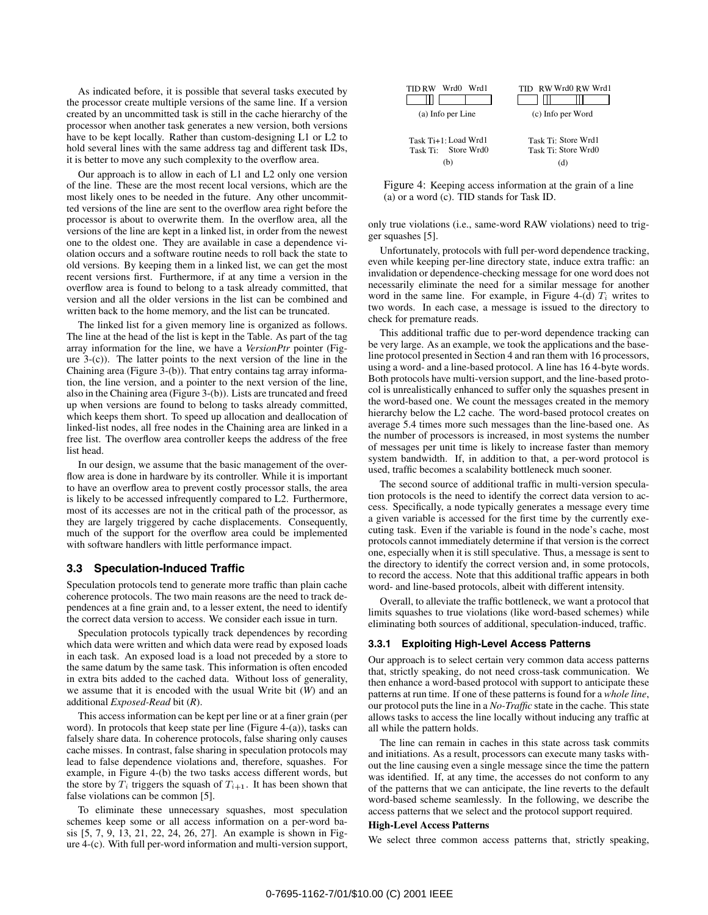As indicated before, it is possible that several tasks executed by the processor create multiple versions of the same line. If a version created by an uncommitted task is still in the cache hierarchy of the processor when another task generates a new version, both versions have to be kept locally. Rather than custom-designing L1 or L2 to hold several lines with the same address tag and different task IDs, it is better to move any such complexity to the overflow area.

Our approach is to allow in each of L1 and L2 only one version of the line. These are the most recent local versions, which are the most likely ones to be needed in the future. Any other uncommitted versions of the line are sent to the overflow area right before the processor is about to overwrite them. In the overflow area, all the versions of the line are kept in a linked list, in order from the newest one to the oldest one. They are available in case a dependence violation occurs and a software routine needs to roll back the state to old versions. By keeping them in a linked list, we can get the most recent versions first. Furthermore, if at any time a version in the overflow area is found to belong to a task already committed, that version and all the older versions in the list can be combined and written back to the home memory, and the list can be truncated.

The linked list for a given memory line is organized as follows. The line at the head of the list is kept in the Table. As part of the tag array information for the line, we have a *VersionPtr* pointer (Figure 3-(c)). The latter points to the next version of the line in the Chaining area (Figure 3-(b)). That entry contains tag array information, the line version, and a pointer to the next version of the line, also in the Chaining area (Figure 3-(b)). Lists are truncated and freed up when versions are found to belong to tasks already committed, which keeps them short. To speed up allocation and deallocation of linked-list nodes, all free nodes in the Chaining area are linked in a free list. The overflow area controller keeps the address of the free list head.

In our design, we assume that the basic management of the overflow area is done in hardware by its controller. While it is important to have an overflow area to prevent costly processor stalls, the area is likely to be accessed infrequently compared to L2. Furthermore, most of its accesses are not in the critical path of the processor, as they are largely triggered by cache displacements. Consequently, much of the support for the overflow area could be implemented with software handlers with little performance impact.

#### **3.3 Speculation-Induced Traffic**

Speculation protocols tend to generate more traffic than plain cache coherence protocols. The two main reasons are the need to track dependences at a fine grain and, to a lesser extent, the need to identify the correct data version to access. We consider each issue in turn.

Speculation protocols typically track dependences by recording which data were written and which data were read by exposed loads in each task. An exposed load is a load not preceded by a store to the same datum by the same task. This information is often encoded in extra bits added to the cached data. Without loss of generality, we assume that it is encoded with the usual Write bit (*W*) and an additional *Exposed-Read* bit (*R*).

This access information can be kept per line or at a finer grain (per word). In protocols that keep state per line (Figure 4-(a)), tasks can falsely share data. In coherence protocols, false sharing only causes cache misses. In contrast, false sharing in speculation protocols may lead to false dependence violations and, therefore, squashes. For example, in Figure 4-(b) the two tasks access different words, but the store by  $T_i$  triggers the squash of  $T_{i+1}$ . It has been shown that false violations can be common [5].

To eliminate these unnecessary squashes, most speculation schemes keep some or all access information on a per-word basis [5, 7, 9, 13, 21, 22, 24, 26, 27]. An example is shown in Figure 4-(c). With full per-word information and multi-version support,

| Wrd0<br>Wrd 1<br>TID RW | TID RW Wrd0 RW Wrd1 |  |  |  |
|-------------------------|---------------------|--|--|--|
|                         |                     |  |  |  |
| (a) Info per Line       | (c) Info per Word   |  |  |  |
|                         |                     |  |  |  |
| Task Ti+1: Load Wrd1    | Task Ti: Store Wrd1 |  |  |  |
| Task Ti Store Wrd0      | Task Ti: Store Wrd0 |  |  |  |
| (D)                     | (d                  |  |  |  |

Figure 4: Keeping access information at the grain of a line (a) or a word (c). TID stands for Task ID.

only true violations (i.e., same-word RAW violations) need to trigger squashes [5].

Unfortunately, protocols with full per-word dependence tracking, even while keeping per-line directory state, induce extra traffic: an invalidation or dependence-checking message for one word does not necessarily eliminate the need for a similar message for another word in the same line. For example, in Figure 4-(d)  $T_i$  writes to two words. In each case, a message is issued to the directory to check for premature reads.

This additional traffic due to per-word dependence tracking can be very large. As an example, we took the applications and the baseline protocol presented in Section 4 and ran them with 16 processors, using a word- and a line-based protocol. A line has 16 4-byte words. Both protocols have multi-version support, and the line-based protocol is unrealistically enhanced to suffer only the squashes present in the word-based one. We count the messages created in the memory hierarchy below the L2 cache. The word-based protocol creates on average 5.4 times more such messages than the line-based one. As the number of processors is increased, in most systems the number of messages per unit time is likely to increase faster than memory system bandwidth. If, in addition to that, a per-word protocol is used, traffic becomes a scalability bottleneck much sooner.

The second source of additional traffic in multi-version speculation protocols is the need to identify the correct data version to access. Specifically, a node typically generates a message every time a given variable is accessed for the first time by the currently executing task. Even if the variable is found in the node's cache, most protocols cannot immediately determine if that version is the correct one, especially when it is still speculative. Thus, a message is sent to the directory to identify the correct version and, in some protocols, to record the access. Note that this additional traffic appears in both word- and line-based protocols, albeit with different intensity.

Overall, to alleviate the traffic bottleneck, we want a protocol that limits squashes to true violations (like word-based schemes) while eliminating both sources of additional, speculation-induced, traffic.

#### **3.3.1 Exploiting High-Level Access Patterns**

Our approach is to select certain very common data access patterns that, strictly speaking, do not need cross-task communication. We then enhance a word-based protocol with support to anticipate these patterns at run time. If one of these patterns is found for a *whole line*, our protocol puts the line in a *No-Traffic* state in the cache. This state allows tasks to access the line locally without inducing any traffic at all while the pattern holds.

The line can remain in caches in this state across task commits and initiations. As a result, processors can execute many tasks without the line causing even a single message since the time the pattern was identified. If, at any time, the accesses do not conform to any of the patterns that we can anticipate, the line reverts to the default word-based scheme seamlessly. In the following, we describe the access patterns that we select and the protocol support required.

### **High-Level Access Patterns**

We select three common access patterns that, strictly speaking,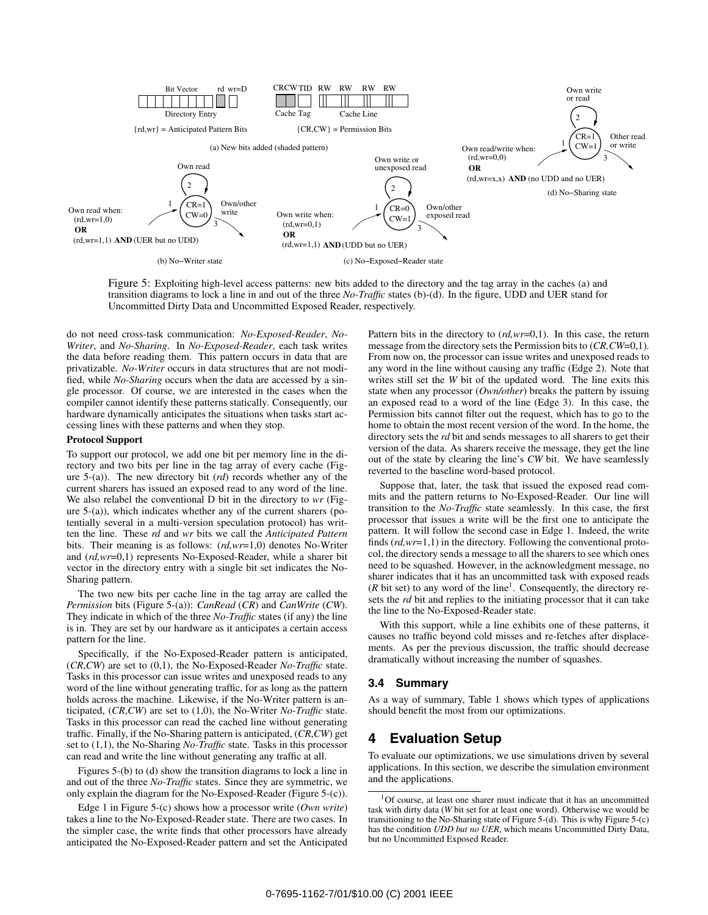

Figure 5: Exploiting high-level access patterns: new bits added to the directory and the tag array in the caches (a) and transition diagrams to lock a line in and out of the three *No-Traffic* states (b)-(d). In the figure, UDD and UER stand for Uncommitted Dirty Data and Uncommitted Exposed Reader, respectively.

do not need cross-task communication: *No-Exposed-Reader*, *No-Writer*, and *No-Sharing*. In *No-Exposed-Reader*, each task writes the data before reading them. This pattern occurs in data that are privatizable. *No-Writer* occurs in data structures that are not modified, while *No-Sharing* occurs when the data are accessed by a single processor. Of course, we are interested in the cases when the compiler cannot identify these patterns statically. Consequently, our hardware dynamically anticipates the situations when tasks start accessing lines with these patterns and when they stop.

### **Protocol Support**

To support our protocol, we add one bit per memory line in the directory and two bits per line in the tag array of every cache (Figure 5-(a)). The new directory bit (*rd*) records whether any of the current sharers has issued an exposed read to any word of the line. We also relabel the conventional D bit in the directory to *wr* (Figure 5-(a)), which indicates whether any of the current sharers (potentially several in a multi-version speculation protocol) has written the line. These *rd* and *wr* bits we call the *Anticipated Pattern* bits. Their meaning is as follows: (*rd,wr*=1,0) denotes No-Writer and (*rd,wr*=0,1) represents No-Exposed-Reader, while a sharer bit vector in the directory entry with a single bit set indicates the No-Sharing pattern.

The two new bits per cache line in the tag array are called the *Permission* bits (Figure 5-(a)): *CanRead* (*CR*) and *CanWrite* (*CW*). They indicate in which of the three *No-Traffic* states (if any) the line is in. They are set by our hardware as it anticipates a certain access pattern for the line.

Specifically, if the No-Exposed-Reader pattern is anticipated, (*CR*,*CW*) are set to (0,1), the No-Exposed-Reader *No-Traffic* state. Tasks in this processor can issue writes and unexposed reads to any word of the line without generating traffic, for as long as the pattern holds across the machine. Likewise, if the No-Writer pattern is anticipated, (*CR*,*CW*) are set to (1,0), the No-Writer *No-Traffic* state. Tasks in this processor can read the cached line without generating traffic. Finally, if the No-Sharing pattern is anticipated, (*CR*,*CW*) get set to (1,1), the No-Sharing *No-Traffic* state. Tasks in this processor can read and write the line without generating any traffic at all.

Figures 5-(b) to (d) show the transition diagrams to lock a line in and out of the three *No-Traffic* states. Since they are symmetric, we only explain the diagram for the No-Exposed-Reader (Figure 5-(c)).

Edge 1 in Figure 5-(c) shows how a processor write (*Own write*) takes a line to the No-Exposed-Reader state. There are two cases. In the simpler case, the write finds that other processors have already anticipated the No-Exposed-Reader pattern and set the Anticipated

Pattern bits in the directory to (*rd,wr*=0,1). In this case, the return message from the directory sets the Permission bits to (*CR,CW*=0,1). From now on, the processor can issue writes and unexposed reads to any word in the line without causing any traffic (Edge 2). Note that writes still set the *W* bit of the updated word. The line exits this state when any processor (*Own/other*) breaks the pattern by issuing an exposed read to a word of the line (Edge 3). In this case, the Permission bits cannot filter out the request, which has to go to the home to obtain the most recent version of the word. In the home, the directory sets the *rd* bit and sends messages to all sharers to get their version of the data. As sharers receive the message, they get the line out of the state by clearing the line's *CW* bit. We have seamlessly reverted to the baseline word-based protocol.

Suppose that, later, the task that issued the exposed read commits and the pattern returns to No-Exposed-Reader. Our line will transition to the *No-Traffic* state seamlessly. In this case, the first processor that issues a write will be the first one to anticipate the pattern. It will follow the second case in Edge 1. Indeed, the write finds (*rd,wr*=1,1) in the directory. Following the conventional protocol, the directory sends a message to all the sharers to see which ones need to be squashed. However, in the acknowledgment message, no sharer indicates that it has an uncommitted task with exposed reads  $(R$  bit set) to any word of the line<sup>1</sup>. Consequently, the directory resets the *rd* bit and replies to the initiating processor that it can take the line to the No-Exposed-Reader state.

With this support, while a line exhibits one of these patterns, it causes no traffic beyond cold misses and re-fetches after displacements. As per the previous discussion, the traffic should decrease dramatically without increasing the number of squashes.

### **3.4 Summary**

As a way of summary, Table 1 shows which types of applications should benefit the most from our optimizations.

# **4 Evaluation Setup**

To evaluate our optimizations, we use simulations driven by several applications. In this section, we describe the simulation environment and the applications.

<sup>1</sup>Of course, at least one sharer must indicate that it has an uncommitted task with dirty data (*W* bit set for at least one word). Otherwise we would be transitioning to the No-Sharing state of Figure 5-(d). This is why Figure 5-(c) has the condition *UDD but no UER*, which means Uncommitted Dirty Data, but no Uncommitted Exposed Reader.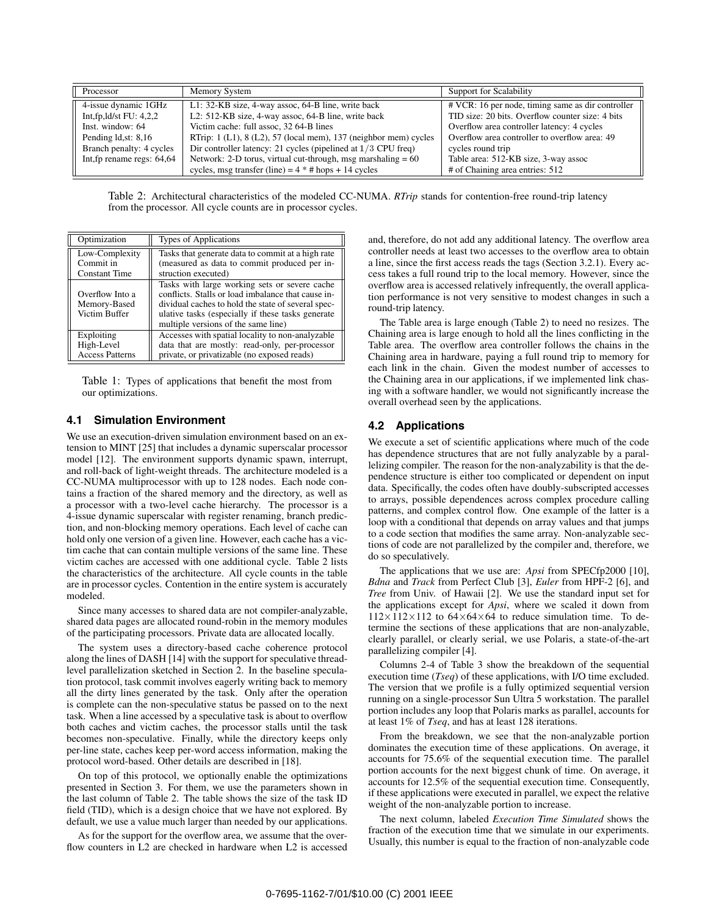| Processor                     | Memory System                                                            | Support for Scalability                           |
|-------------------------------|--------------------------------------------------------------------------|---------------------------------------------------|
| 4-issue dynamic 1GHz          | L1: 32-KB size, 4-way assoc, 64-B line, write back                       | # VCR: 16 per node, timing same as dir controller |
| Int, fp, $ld$ /st $FU: 4,2,2$ | L2: 512-KB size, 4-way assoc, 64-B line, write back                      | TID size: 20 bits. Overflow counter size: 4 bits  |
| Inst. window: 64              | Victim cache: full assoc, 32 64-B lines                                  | Overflow area controller latency: 4 cycles        |
| Pending ld, st: 8,16          | RTrip: $1$ (L1), $8$ (L2), $57$ (local mem), $137$ (neighbor mem) cycles | Overflow area controller to overflow area: 49     |
| Branch penalty: 4 cycles      | Dir controller latency: 21 cycles (pipelined at $1/3$ CPU freq)          | cycles round trip                                 |
| Int, fp rename regs: 64,64    | Network: 2-D torus, virtual cut-through, msg marshaling $= 60$           | Table area: 512-KB size, 3-way assoc              |
|                               | cycles, msg transfer (line) = $4 * #$ hops + 14 cycles                   | # of Chaining area entries: 512                   |

Table 2: Architectural characteristics of the modeled CC-NUMA. *RTrip* stands for contention-free round-trip latency from the processor. All cycle counts are in processor cycles.

| Optimization                                     | Types of Applications                                                                                                                                                                                                                                 |
|--------------------------------------------------|-------------------------------------------------------------------------------------------------------------------------------------------------------------------------------------------------------------------------------------------------------|
| Low-Complexity                                   | Tasks that generate data to commit at a high rate                                                                                                                                                                                                     |
| Commit in                                        | (measured as data to commit produced per in-                                                                                                                                                                                                          |
| <b>Constant Time</b>                             | struction executed)                                                                                                                                                                                                                                   |
| Overflow Into a<br>Memory-Based<br>Victim Buffer | Tasks with large working sets or severe cache<br>conflicts. Stalls or load imbalance that cause in-<br>dividual caches to hold the state of several spec-<br>ulative tasks (especially if these tasks generate<br>multiple versions of the same line) |
| Exploiting                                       | Accesses with spatial locality to non-analyzable                                                                                                                                                                                                      |
| High-Level                                       | data that are mostly: read-only, per-processor                                                                                                                                                                                                        |
| <b>Access Patterns</b>                           | private, or privatizable (no exposed reads)                                                                                                                                                                                                           |

Table 1: Types of applications that benefit the most from our optimizations.

## **4.1 Simulation Environment**

We use an execution-driven simulation environment based on an extension to MINT [25] that includes a dynamic superscalar processor model [12]. The environment supports dynamic spawn, interrupt, and roll-back of light-weight threads. The architecture modeled is a CC-NUMA multiprocessor with up to 128 nodes. Each node contains a fraction of the shared memory and the directory, as well as a processor with a two-level cache hierarchy. The processor is a 4-issue dynamic superscalar with register renaming, branch prediction, and non-blocking memory operations. Each level of cache can hold only one version of a given line. However, each cache has a victim cache that can contain multiple versions of the same line. These victim caches are accessed with one additional cycle. Table 2 lists the characteristics of the architecture. All cycle counts in the table are in processor cycles. Contention in the entire system is accurately modeled.

Since many accesses to shared data are not compiler-analyzable, shared data pages are allocated round-robin in the memory modules of the participating processors. Private data are allocated locally.

The system uses a directory-based cache coherence protocol along the lines of DASH [14] with the support for speculative threadlevel parallelization sketched in Section 2. In the baseline speculation protocol, task commit involves eagerly writing back to memory all the dirty lines generated by the task. Only after the operation is complete can the non-speculative status be passed on to the next task. When a line accessed by a speculative task is about to overflow both caches and victim caches, the processor stalls until the task becomes non-speculative. Finally, while the directory keeps only per-line state, caches keep per-word access information, making the protocol word-based. Other details are described in [18].

On top of this protocol, we optionally enable the optimizations presented in Section 3. For them, we use the parameters shown in the last column of Table 2. The table shows the size of the task ID field (TID), which is a design choice that we have not explored. By default, we use a value much larger than needed by our applications.

As for the support for the overflow area, we assume that the overflow counters in L2 are checked in hardware when L2 is accessed and, therefore, do not add any additional latency. The overflow area controller needs at least two accesses to the overflow area to obtain a line, since the first access reads the tags (Section 3.2.1). Every access takes a full round trip to the local memory. However, since the overflow area is accessed relatively infrequently, the overall application performance is not very sensitive to modest changes in such a round-trip latency.

The Table area is large enough (Table 2) to need no resizes. The Chaining area is large enough to hold all the lines conflicting in the Table area. The overflow area controller follows the chains in the Chaining area in hardware, paying a full round trip to memory for each link in the chain. Given the modest number of accesses to the Chaining area in our applications, if we implemented link chasing with a software handler, we would not significantly increase the overall overhead seen by the applications.

# **4.2 Applications**

We execute a set of scientific applications where much of the code has dependence structures that are not fully analyzable by a parallelizing compiler. The reason for the non-analyzability is that the dependence structure is either too complicated or dependent on input data. Specifically, the codes often have doubly-subscripted accesses to arrays, possible dependences across complex procedure calling patterns, and complex control flow. One example of the latter is a loop with a conditional that depends on array values and that jumps to a code section that modifies the same array. Non-analyzable sections of code are not parallelized by the compiler and, therefore, we do so speculatively.

The applications that we use are: *Apsi* from SPECfp2000 [10], *Bdna* and *Track* from Perfect Club [3], *Euler* from HPF-2 [6], and *Tree* from Univ. of Hawaii [2]. We use the standard input set for the applications except for *Apsi*, where we scaled it down from  $112\times112\times112$  to  $64\times64\times64$  to reduce simulation time. To determine the sections of these applications that are non-analyzable, clearly parallel, or clearly serial, we use Polaris, a state-of-the-art parallelizing compiler [4].

Columns 2-4 of Table 3 show the breakdown of the sequential execution time (*Tseq*) of these applications, with I/O time excluded. The version that we profile is a fully optimized sequential version running on a single-processor Sun Ultra 5 workstation. The parallel portion includes any loop that Polaris marks as parallel, accounts for at least 1% of *Tseq*, and has at least 128 iterations.

From the breakdown, we see that the non-analyzable portion dominates the execution time of these applications. On average, it accounts for 75.6% of the sequential execution time. The parallel portion accounts for the next biggest chunk of time. On average, it accounts for 12.5% of the sequential execution time. Consequently, if these applications were executed in parallel, we expect the relative weight of the non-analyzable portion to increase.

The next column, labeled *Execution Time Simulated* shows the fraction of the execution time that we simulate in our experiments. Usually, this number is equal to the fraction of non-analyzable code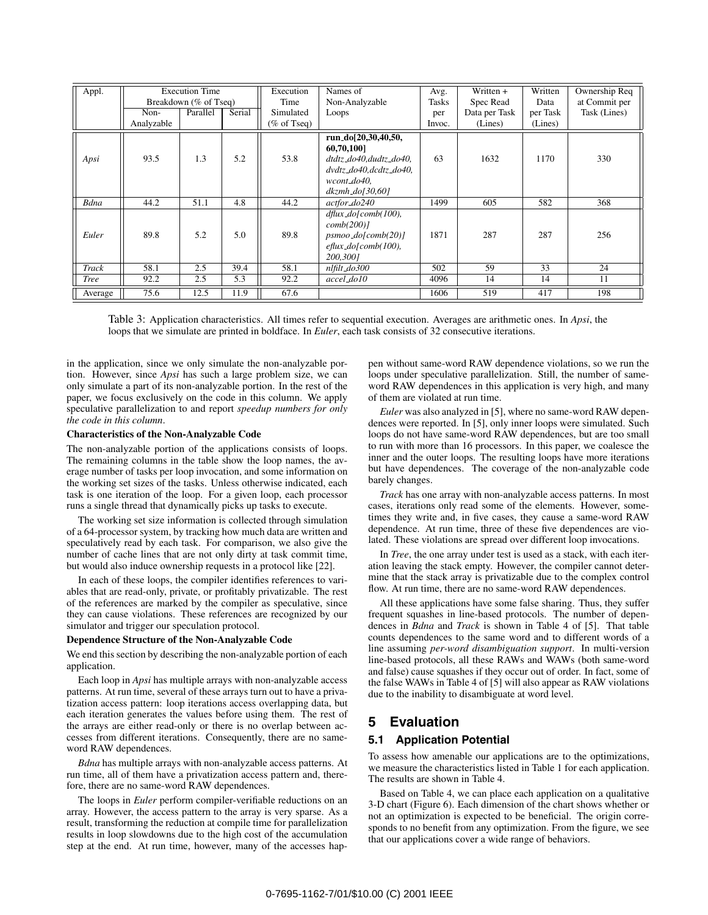| Appl.        |            | <b>Execution Time</b><br>Breakdown (% of Tseq) |        | Execution<br>Time              | Names of<br>Non-Analyzable                                                                                                               | Avg.<br>Tasks | Written +<br>Spec Read | Written<br>Data | Ownership Req<br>at Commit per |
|--------------|------------|------------------------------------------------|--------|--------------------------------|------------------------------------------------------------------------------------------------------------------------------------------|---------------|------------------------|-----------------|--------------------------------|
|              | Non-       | Parallel                                       | Serial | Simulated                      | Loops                                                                                                                                    | per           | Data per Task          | per Task        | Task (Lines)                   |
|              | Analyzable |                                                |        | $(\% \text{ of } \text{Tseq})$ |                                                                                                                                          | Invoc.        | (Lines)                | (Lines)         |                                |
| Apsi         | 93.5       | 1.3                                            | 5.2    | 53.8                           | run_do[20,30,40,50,<br>60,70,100]<br>dtdtz_do40,dudtz_do40,<br>$dvdtz$ , $do40$ , $dcdtz$ , $do40$ ,<br>wcont do40.<br>$dkzmh_do[30,60]$ | 63            | 1632                   | 1170            | 330                            |
| Bdna         | 44.2       | 51.1                                           | 4.8    | 44.2                           | actfor do240                                                                                                                             | 1499          | 605                    | 582             | 368                            |
| Euler        | 89.8       | 5.2                                            | 5.0    | 89.8                           | $d$ flux $d$ o[comb(100),<br>$comb(200)$ ]<br>$psmoo$ do[comb(20)]<br>$e$ flux_do[comb(100),<br>200,3001                                 | 1871          | 287                    | 287             | 256                            |
| <b>Track</b> | 58.1       | 2.5                                            | 39.4   | 58.1                           | nlfilt do300                                                                                                                             | 502           | 59                     | 33              | 24                             |
| <b>Tree</b>  | 92.2       | 2.5                                            | 5.3    | 92.2                           | accel_do10                                                                                                                               | 4096          | 14                     | 14              | 11                             |
| Average      | 75.6       | 12.5                                           | 11.9   | 67.6                           |                                                                                                                                          | 1606          | 519                    | 417             | 198                            |

Table 3: Application characteristics. All times refer to sequential execution. Averages are arithmetic ones. In *Apsi*, the loops that we simulate are printed in boldface. In *Euler*, each task consists of 32 consecutive iterations.

in the application, since we only simulate the non-analyzable portion. However, since *Apsi* has such a large problem size, we can only simulate a part of its non-analyzable portion. In the rest of the paper, we focus exclusively on the code in this column. We apply speculative parallelization to and report *speedup numbers for only the code in this column*.

### **Characteristics of the Non-Analyzable Code**

The non-analyzable portion of the applications consists of loops. The remaining columns in the table show the loop names, the average number of tasks per loop invocation, and some information on the working set sizes of the tasks. Unless otherwise indicated, each task is one iteration of the loop. For a given loop, each processor runs a single thread that dynamically picks up tasks to execute.

The working set size information is collected through simulation of a 64-processor system, by tracking how much data are written and speculatively read by each task. For comparison, we also give the number of cache lines that are not only dirty at task commit time, but would also induce ownership requests in a protocol like [22].

In each of these loops, the compiler identifies references to variables that are read-only, private, or profitably privatizable. The rest of the references are marked by the compiler as speculative, since they can cause violations. These references are recognized by our simulator and trigger our speculation protocol.

### **Dependence Structure of the Non-Analyzable Code**

We end this section by describing the non-analyzable portion of each application.

Each loop in *Apsi* has multiple arrays with non-analyzable access patterns. At run time, several of these arrays turn out to have a privatization access pattern: loop iterations access overlapping data, but each iteration generates the values before using them. The rest of the arrays are either read-only or there is no overlap between accesses from different iterations. Consequently, there are no sameword RAW dependences.

*Bdna* has multiple arrays with non-analyzable access patterns. At run time, all of them have a privatization access pattern and, therefore, there are no same-word RAW dependences.

The loops in *Euler* perform compiler-verifiable reductions on an array. However, the access pattern to the array is very sparse. As a result, transforming the reduction at compile time for parallelization results in loop slowdowns due to the high cost of the accumulation step at the end. At run time, however, many of the accesses happen without same-word RAW dependence violations, so we run the loops under speculative parallelization. Still, the number of sameword RAW dependences in this application is very high, and many of them are violated at run time.

*Euler* was also analyzed in [5], where no same-word RAW dependences were reported. In [5], only inner loops were simulated. Such loops do not have same-word RAW dependences, but are too small to run with more than 16 processors. In this paper, we coalesce the inner and the outer loops. The resulting loops have more iterations but have dependences. The coverage of the non-analyzable code barely changes.

*Track* has one array with non-analyzable access patterns. In most cases, iterations only read some of the elements. However, sometimes they write and, in five cases, they cause a same-word RAW dependence. At run time, three of these five dependences are violated. These violations are spread over different loop invocations.

In *Tree*, the one array under test is used as a stack, with each iteration leaving the stack empty. However, the compiler cannot determine that the stack array is privatizable due to the complex control flow. At run time, there are no same-word RAW dependences.

All these applications have some false sharing. Thus, they suffer frequent squashes in line-based protocols. The number of dependences in *Bdna* and *Track* is shown in Table 4 of [5]. That table counts dependences to the same word and to different words of a line assuming *per-word disambiguation support*. In multi-version line-based protocols, all these RAWs and WAWs (both same-word and false) cause squashes if they occur out of order. In fact, some of the false WAWs in Table 4 of [5] will also appear as RAW violations due to the inability to disambiguate at word level.

## **5 Evaluation**

## **5.1 Application Potential**

To assess how amenable our applications are to the optimizations, we measure the characteristics listed in Table 1 for each application. The results are shown in Table 4.

Based on Table 4, we can place each application on a qualitative 3-D chart (Figure 6). Each dimension of the chart shows whether or not an optimization is expected to be beneficial. The origin corresponds to no benefit from any optimization. From the figure, we see that our applications cover a wide range of behaviors.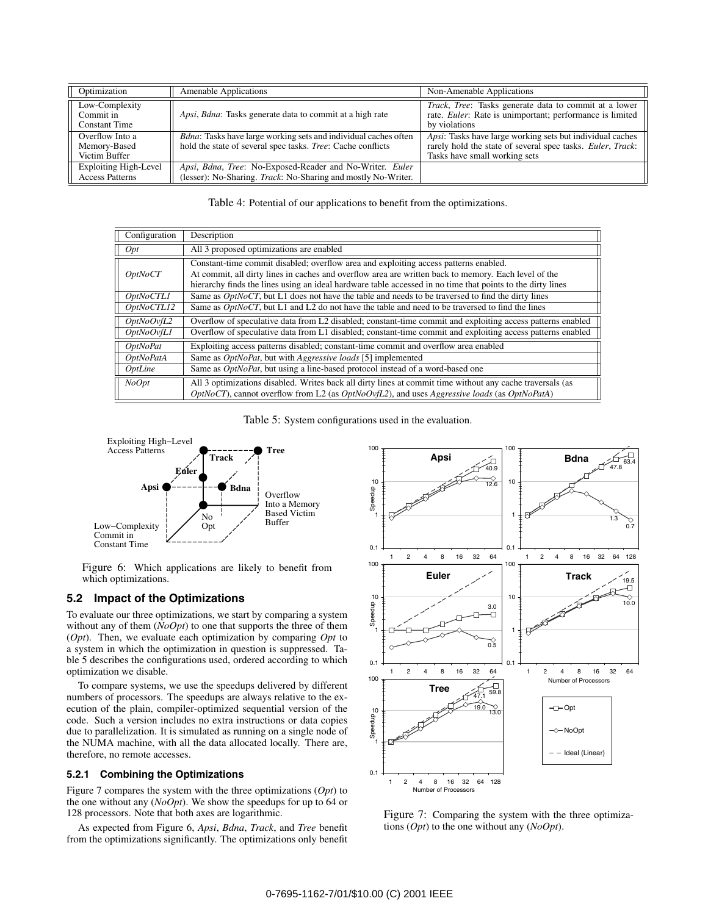| Optimization                                           | <b>Amenable Applications</b>                                                                                                           | Non-Amenable Applications                                                                                                                                       |
|--------------------------------------------------------|----------------------------------------------------------------------------------------------------------------------------------------|-----------------------------------------------------------------------------------------------------------------------------------------------------------------|
| Low-Complexity<br>Commit in<br><b>Constant Time</b>    | Apsi, Bdna: Tasks generate data to commit at a high rate                                                                               | Track, Tree: Tasks generate data to commit at a lower<br>rate. Euler: Rate is unimportant; performance is limited<br>by violations                              |
| Overflow Into a<br>Memory-Based<br>Victim Buffer       | Bdna: Tasks have large working sets and individual caches often<br>hold the state of several spec tasks. <i>Tree</i> : Cache conflicts | <i>Apsi:</i> Tasks have large working sets but individual caches<br>rarely hold the state of several spec tasks. Euler, Track:<br>Tasks have small working sets |
| <b>Exploiting High-Level</b><br><b>Access Patterns</b> | Apsi, Bdna, Tree: No-Exposed-Reader and No-Writer. Euler<br>(lesser): No-Sharing. <i>Track</i> : No-Sharing and mostly No-Writer.      |                                                                                                                                                                 |

| Table 4: Potential of our applications to benefit from the optimizations. |  |  |
|---------------------------------------------------------------------------|--|--|
|                                                                           |  |  |

| Configuration    | Description                                                                                                                                                                                                                                                                                                |
|------------------|------------------------------------------------------------------------------------------------------------------------------------------------------------------------------------------------------------------------------------------------------------------------------------------------------------|
| $\int$ Opt       | All 3 proposed optimizations are enabled                                                                                                                                                                                                                                                                   |
| <i>OptNoCT</i>   | Constant-time commit disabled; overflow area and exploiting access patterns enabled.<br>At commit, all dirty lines in caches and overflow area are written back to memory. Each level of the<br>hierarchy finds the lines using an ideal hardware table accessed in no time that points to the dirty lines |
| <i>OptNoCTL1</i> | Same as <i>OptNoCT</i> , but L1 does not have the table and needs to be traversed to find the dirty lines                                                                                                                                                                                                  |
| OptNoCTL12       | Same as <i>OptNoCT</i> , but L1 and L2 do not have the table and need to be traversed to find the lines                                                                                                                                                                                                    |
| OptNoOvfL2       | Overflow of speculative data from L2 disabled; constant-time commit and exploiting access patterns enabled                                                                                                                                                                                                 |
| OptNoOvfLI       | Overflow of speculative data from L1 disabled; constant-time commit and exploiting access patterns enabled                                                                                                                                                                                                 |
| <i>OptNoPat</i>  | Exploiting access patterns disabled; constant-time commit and overflow area enabled                                                                                                                                                                                                                        |
| <b>OptNoPatA</b> | Same as OptNoPat, but with Aggressive loads [5] implemented                                                                                                                                                                                                                                                |
| <i>OptLine</i>   | Same as <i>OptNoPat</i> , but using a line-based protocol instead of a word-based one                                                                                                                                                                                                                      |
| NoOpt            | All 3 optimizations disabled. Writes back all dirty lines at commit time without any cache traversals (as<br>OptNoCT), cannot overflow from L2 (as $OptNoOvfL2$ ), and uses Aggressive loads (as OptNoPatA)                                                                                                |

Table 5: System configurations used in the evaluation.



Figure 6: Which applications are likely to benefit from which optimizations.

## **5.2 Impact of the Optimizations**

To evaluate our three optimizations, we start by comparing a system without any of them (*NoOpt*) to one that supports the three of them (*Opt*). Then, we evaluate each optimization by comparing *Opt* to a system in which the optimization in question is suppressed. Table 5 describes the configurations used, ordered according to which optimization we disable.

To compare systems, we use the speedups delivered by different numbers of processors. The speedups are always relative to the execution of the plain, compiler-optimized sequential version of the code. Such a version includes no extra instructions or data copies due to parallelization. It is simulated as running on a single node of the NUMA machine, with all the data allocated locally. There are, therefore, no remote accesses.

### **5.2.1 Combining the Optimizations**

Figure 7 compares the system with the three optimizations (*Opt*) to the one without any (*NoOpt*). We show the speedups for up to 64 or 128 processors. Note that both axes are logarithmic.

As expected from Figure 6, *Apsi*, *Bdna*, *Track*, and *Tree* benefit from the optimizations significantly. The optimizations only benefit



Figure 7: Comparing the system with the three optimizations (*Opt*) to the one without any (*NoOpt*).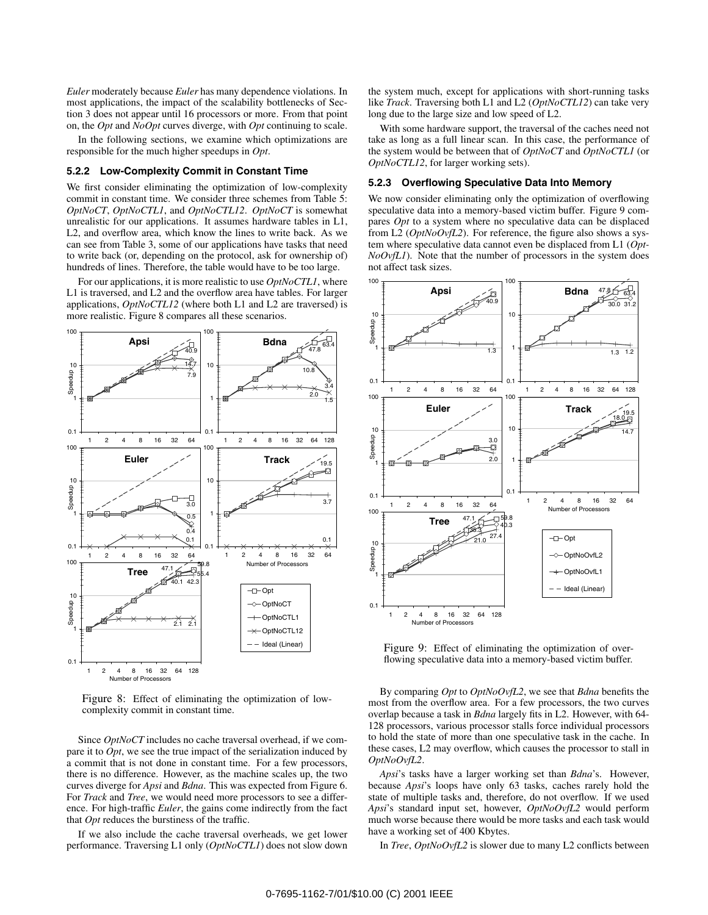*Euler* moderately because *Euler* has many dependence violations. In most applications, the impact of the scalability bottlenecks of Section 3 does not appear until 16 processors or more. From that point on, the *Opt* and *NoOpt* curves diverge, with *Opt* continuing to scale.

In the following sections, we examine which optimizations are responsible for the much higher speedups in *Opt*.

### **5.2.2 Low-Complexity Commit in Constant Time**

We first consider eliminating the optimization of low-complexity commit in constant time. We consider three schemes from Table 5: *OptNoCT*, *OptNoCTL1*, and *OptNoCTL12*. *OptNoCT* is somewhat unrealistic for our applications. It assumes hardware tables in L1, L2, and overflow area, which know the lines to write back. As we can see from Table 3, some of our applications have tasks that need to write back (or, depending on the protocol, ask for ownership of) hundreds of lines. Therefore, the table would have to be too large.

For our applications, it is more realistic to use *OptNoCTL1*, where L1 is traversed, and L2 and the overflow area have tables. For larger applications, *OptNoCTL12* (where both L1 and L2 are traversed) is more realistic. Figure 8 compares all these scenarios.



Figure 8: Effect of eliminating the optimization of lowcomplexity commit in constant time.

Since *OptNoCT* includes no cache traversal overhead, if we compare it to *Opt*, we see the true impact of the serialization induced by a commit that is not done in constant time. For a few processors, there is no difference. However, as the machine scales up, the two curves diverge for *Apsi* and *Bdna*. This was expected from Figure 6. For *Track* and *Tree*, we would need more processors to see a difference. For high-traffic *Euler*, the gains come indirectly from the fact that *Opt* reduces the burstiness of the traffic.

If we also include the cache traversal overheads, we get lower performance. Traversing L1 only (*OptNoCTL1*) does not slow down the system much, except for applications with short-running tasks like *Track*. Traversing both L1 and L2 (*OptNoCTL12*) can take very long due to the large size and low speed of L2.

With some hardware support, the traversal of the caches need not take as long as a full linear scan. In this case, the performance of the system would be between that of *OptNoCT* and *OptNoCTL1* (or *OptNoCTL12*, for larger working sets).

### **5.2.3 Overflowing Speculative Data Into Memory**

We now consider eliminating only the optimization of overflowing speculative data into a memory-based victim buffer. Figure 9 compares *Opt* to a system where no speculative data can be displaced from L2 (*OptNoOvfL2*). For reference, the figure also shows a system where speculative data cannot even be displaced from L1 (*Opt-NoOvfL1*). Note that the number of processors in the system does not affect task sizes.



Figure 9: Effect of eliminating the optimization of overflowing speculative data into a memory-based victim buffer.

By comparing *Opt* to *OptNoOvfL2*, we see that *Bdna* benefits the most from the overflow area. For a few processors, the two curves overlap because a task in *Bdna* largely fits in L2. However, with 64- 128 processors, various processor stalls force individual processors to hold the state of more than one speculative task in the cache. In these cases, L2 may overflow, which causes the processor to stall in *OptNoOvfL2*.

*Apsi*'s tasks have a larger working set than *Bdna*'s. However, because *Apsi*'s loops have only 63 tasks, caches rarely hold the state of multiple tasks and, therefore, do not overflow. If we used *Apsi*'s standard input set, however, *OptNoOvfL2* would perform much worse because there would be more tasks and each task would have a working set of 400 Kbytes.

In *Tree*, *OptNoOvfL2* is slower due to many L2 conflicts between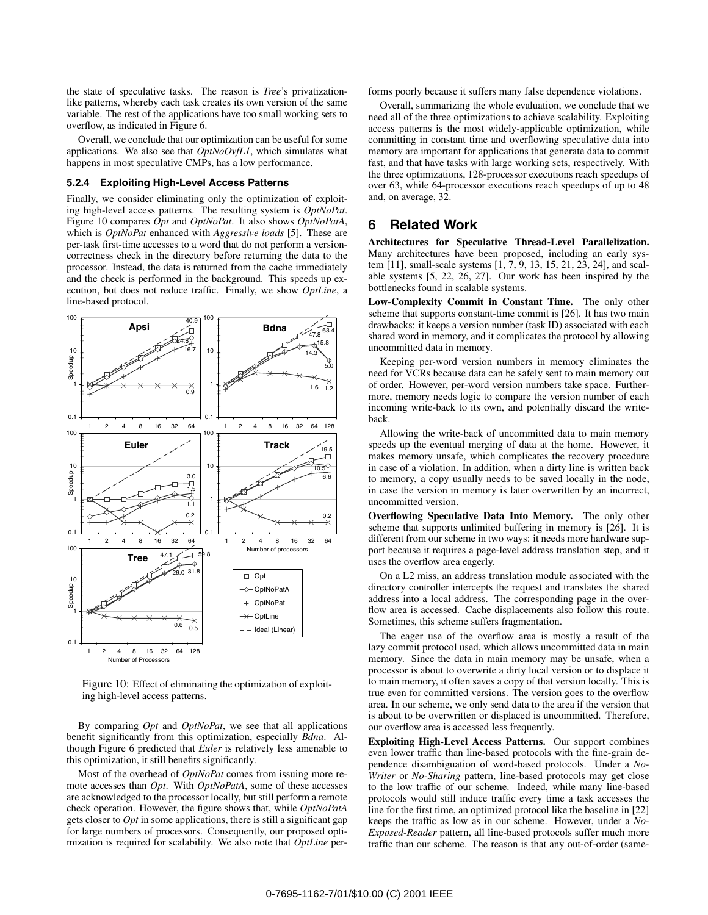the state of speculative tasks. The reason is *Tree*'s privatizationlike patterns, whereby each task creates its own version of the same variable. The rest of the applications have too small working sets to overflow, as indicated in Figure 6.

Overall, we conclude that our optimization can be useful for some applications. We also see that *OptNoOvfL1*, which simulates what happens in most speculative CMPs, has a low performance.

### **5.2.4 Exploiting High-Level Access Patterns**

Finally, we consider eliminating only the optimization of exploiting high-level access patterns. The resulting system is *OptNoPat*. Figure 10 compares *Opt* and *OptNoPat*. It also shows *OptNoPatA*, which is *OptNoPat* enhanced with *Aggressive loads* [5]. These are per-task first-time accesses to a word that do not perform a versioncorrectness check in the directory before returning the data to the processor. Instead, the data is returned from the cache immediately and the check is performed in the background. This speeds up execution, but does not reduce traffic. Finally, we show *OptLine*, a line-based protocol.



Figure 10: Effect of eliminating the optimization of exploiting high-level access patterns.

By comparing *Opt* and *OptNoPat*, we see that all applications benefit significantly from this optimization, especially *Bdna*. Although Figure 6 predicted that *Euler* is relatively less amenable to this optimization, it still benefits significantly.

Most of the overhead of *OptNoPat* comes from issuing more remote accesses than *Opt*. With *OptNoPatA*, some of these accesses are acknowledged to the processor locally, but still perform a remote check operation. However, the figure shows that, while *OptNoPatA* gets closer to *Opt* in some applications, there is still a significant gap for large numbers of processors. Consequently, our proposed optimization is required for scalability. We also note that *OptLine* performs poorly because it suffers many false dependence violations.

Overall, summarizing the whole evaluation, we conclude that we need all of the three optimizations to achieve scalability. Exploiting access patterns is the most widely-applicable optimization, while committing in constant time and overflowing speculative data into memory are important for applications that generate data to commit fast, and that have tasks with large working sets, respectively. With the three optimizations, 128-processor executions reach speedups of over 63, while 64-processor executions reach speedups of up to 48 and, on average, 32.

# **6 Related Work**

**Architectures for Speculative Thread-Level Parallelization.** Many architectures have been proposed, including an early system [11], small-scale systems [1, 7, 9, 13, 15, 21, 23, 24], and scalable systems [5, 22, 26, 27]. Our work has been inspired by the bottlenecks found in scalable systems.

**Low-Complexity Commit in Constant Time.** The only other scheme that supports constant-time commit is [26]. It has two main drawbacks: it keeps a version number (task ID) associated with each shared word in memory, and it complicates the protocol by allowing uncommitted data in memory.

Keeping per-word version numbers in memory eliminates the need for VCRs because data can be safely sent to main memory out of order. However, per-word version numbers take space. Furthermore, memory needs logic to compare the version number of each incoming write-back to its own, and potentially discard the writeback.

Allowing the write-back of uncommitted data to main memory speeds up the eventual merging of data at the home. However, it makes memory unsafe, which complicates the recovery procedure in case of a violation. In addition, when a dirty line is written back to memory, a copy usually needs to be saved locally in the node, in case the version in memory is later overwritten by an incorrect, uncommitted version.

**Overflowing Speculative Data Into Memory.** The only other scheme that supports unlimited buffering in memory is [26]. It is different from our scheme in two ways: it needs more hardware support because it requires a page-level address translation step, and it uses the overflow area eagerly.

On a L2 miss, an address translation module associated with the directory controller intercepts the request and translates the shared address into a local address. The corresponding page in the overflow area is accessed. Cache displacements also follow this route. Sometimes, this scheme suffers fragmentation.

The eager use of the overflow area is mostly a result of the lazy commit protocol used, which allows uncommitted data in main memory. Since the data in main memory may be unsafe, when a processor is about to overwrite a dirty local version or to displace it to main memory, it often saves a copy of that version locally. This is true even for committed versions. The version goes to the overflow area. In our scheme, we only send data to the area if the version that is about to be overwritten or displaced is uncommitted. Therefore, our overflow area is accessed less frequently.

**Exploiting High-Level Access Patterns.** Our support combines even lower traffic than line-based protocols with the fine-grain dependence disambiguation of word-based protocols. Under a *No-Writer* or *No-Sharing* pattern, line-based protocols may get close to the low traffic of our scheme. Indeed, while many line-based protocols would still induce traffic every time a task accesses the line for the first time, an optimized protocol like the baseline in [22] keeps the traffic as low as in our scheme. However, under a *No-Exposed-Reader* pattern, all line-based protocols suffer much more traffic than our scheme. The reason is that any out-of-order (same